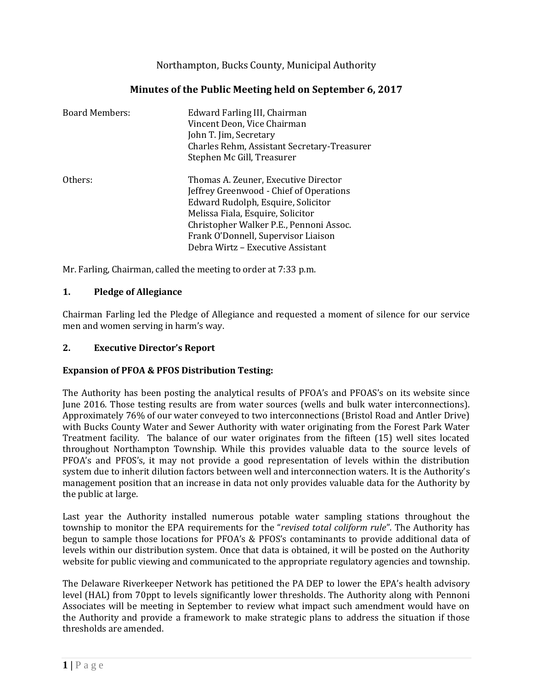Northampton, Bucks County, Municipal Authority

# **Minutes of the Public Meeting held on September 6, 2017**

| <b>Board Members:</b> | Edward Farling III, Chairman<br>Vincent Deon, Vice Chairman<br>John T. Jim, Secretary<br>Charles Rehm, Assistant Secretary-Treasurer<br>Stephen Mc Gill, Treasurer                                                                                                                |
|-----------------------|-----------------------------------------------------------------------------------------------------------------------------------------------------------------------------------------------------------------------------------------------------------------------------------|
| Others:               | Thomas A. Zeuner, Executive Director<br>Jeffrey Greenwood - Chief of Operations<br>Edward Rudolph, Esquire, Solicitor<br>Melissa Fiala, Esquire, Solicitor<br>Christopher Walker P.E., Pennoni Assoc.<br>Frank O'Donnell, Supervisor Liaison<br>Debra Wirtz – Executive Assistant |

Mr. Farling, Chairman, called the meeting to order at 7:33 p.m.

### **1. Pledge of Allegiance**

Chairman Farling led the Pledge of Allegiance and requested a moment of silence for our service men and women serving in harm's way.

### **2. Executive Director's Report**

### **Expansion of PFOA & PFOS Distribution Testing:**

The Authority has been posting the analytical results of PFOA's and PFOAS's on its website since June 2016. Those testing results are from water sources (wells and bulk water interconnections). Approximately 76% of our water conveyed to two interconnections (Bristol Road and Antler Drive) with Bucks County Water and Sewer Authority with water originating from the Forest Park Water Treatment facility. The balance of our water originates from the fifteen (15) well sites located throughout Northampton Township. While this provides valuable data to the source levels of PFOA's and PFOS's, it may not provide a good representation of levels within the distribution system due to inherit dilution factors between well and interconnection waters. It is the Authority's management position that an increase in data not only provides valuable data for the Authority by the public at large.

Last year the Authority installed numerous potable water sampling stations throughout the township to monitor the EPA requirements for the "*revised total coliform rule*". The Authority has begun to sample those locations for PFOA's & PFOS's contaminants to provide additional data of levels within our distribution system. Once that data is obtained, it will be posted on the Authority website for public viewing and communicated to the appropriate regulatory agencies and township.

The Delaware Riverkeeper Network has petitioned the PA DEP to lower the EPA's health advisory level (HAL) from 70ppt to levels significantly lower thresholds. The Authority along with Pennoni Associates will be meeting in September to review what impact such amendment would have on the Authority and provide a framework to make strategic plans to address the situation if those thresholds are amended.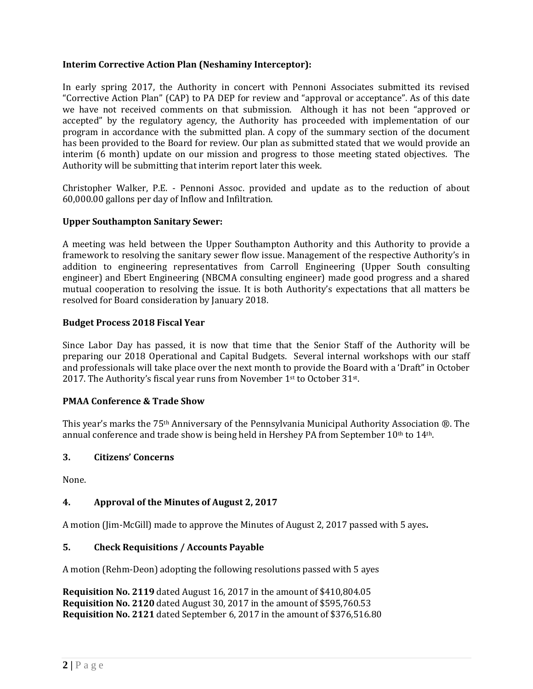### **Interim Corrective Action Plan (Neshaminy Interceptor):**

In early spring 2017, the Authority in concert with Pennoni Associates submitted its revised "Corrective Action Plan" (CAP) to PA DEP for review and "approval or acceptance". As of this date we have not received comments on that submission. Although it has not been "approved or accepted" by the regulatory agency, the Authority has proceeded with implementation of our program in accordance with the submitted plan. A copy of the summary section of the document has been provided to the Board for review. Our plan as submitted stated that we would provide an interim (6 month) update on our mission and progress to those meeting stated objectives. The Authority will be submitting that interim report later this week.

Christopher Walker, P.E. - Pennoni Assoc. provided and update as to the reduction of about 60,000.00 gallons per day of Inflow and Infiltration.

#### **Upper Southampton Sanitary Sewer:**

A meeting was held between the Upper Southampton Authority and this Authority to provide a framework to resolving the sanitary sewer flow issue. Management of the respective Authority's in addition to engineering representatives from Carroll Engineering (Upper South consulting engineer) and Ebert Engineering (NBCMA consulting engineer) made good progress and a shared mutual cooperation to resolving the issue. It is both Authority's expectations that all matters be resolved for Board consideration by January 2018.

#### **Budget Process 2018 Fiscal Year**

Since Labor Day has passed, it is now that time that the Senior Staff of the Authority will be preparing our 2018 Operational and Capital Budgets. Several internal workshops with our staff and professionals will take place over the next month to provide the Board with a 'Draft" in October 2017. The Authority's fiscal year runs from November 1<sup>st</sup> to October 31<sup>st</sup>.

### **PMAA Conference & Trade Show**

This year's marks the 75th Anniversary of the Pennsylvania Municipal Authority Association ®. The annual conference and trade show is being held in Hershey PA from September 10<sup>th</sup> to 14<sup>th</sup>.

### **3. Citizens' Concerns**

None.

### **4. Approval of the Minutes of August 2, 2017**

A motion (Jim-McGill) made to approve the Minutes of August 2, 2017 passed with 5 ayes**.**

### **5. Check Requisitions / Accounts Payable**

A motion (Rehm-Deon) adopting the following resolutions passed with 5 ayes

**Requisition No. 2119** dated August 16, 2017 in the amount of \$410,804.05 **Requisition No. 2120** dated August 30, 2017 in the amount of \$595,760.53 **Requisition No. 2121** dated September 6, 2017 in the amount of \$376,516.80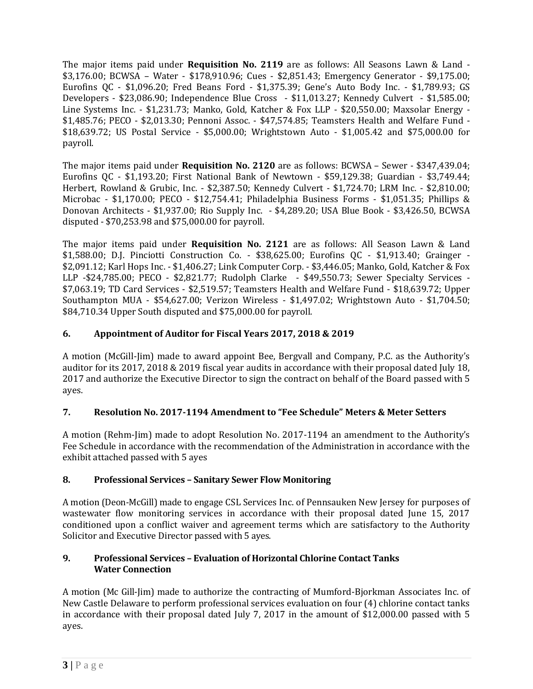The major items paid under **Requisition No. 2119** are as follows: All Seasons Lawn & Land - \$3,176.00; BCWSA – Water - \$178,910.96; Cues - \$2,851.43; Emergency Generator - \$9,175.00; Eurofins QC - \$1,096.20; Fred Beans Ford - \$1,375.39; Gene's Auto Body Inc. - \$1,789.93; GS Developers - \$23,086.90; Independence Blue Cross - \$11,013.27; Kennedy Culvert - \$1,585.00; Line Systems Inc. - \$1,231.73; Manko, Gold, Katcher & Fox LLP - \$20,550.00; Maxsolar Energy - \$1,485.76; PECO - \$2,013.30; Pennoni Assoc. - \$47,574.85; Teamsters Health and Welfare Fund - \$18,639.72; US Postal Service - \$5,000.00; Wrightstown Auto - \$1,005.42 and \$75,000.00 for payroll.

The major items paid under **Requisition No. 2120** are as follows: BCWSA – Sewer - \$347,439.04; Eurofins QC - \$1,193.20; First National Bank of Newtown - \$59,129.38; Guardian - \$3,749.44; Herbert, Rowland & Grubic, Inc. - \$2,387.50; Kennedy Culvert - \$1,724.70; LRM Inc. - \$2,810.00; Microbac - \$1,170.00; PECO - \$12,754.41; Philadelphia Business Forms - \$1,051.35; Phillips & Donovan Architects - \$1,937.00; Rio Supply Inc. - \$4,289.20; USA Blue Book - \$3,426.50, BCWSA disputed - \$70,253.98 and \$75,000.00 for payroll.

The major items paid under **Requisition No. 2121** are as follows: All Season Lawn & Land \$1,588.00; D.J. Pinciotti Construction Co. - \$38,625.00; Eurofins QC - \$1,913.40; Grainger - \$2,091.12; Karl Hops Inc. - \$1,406.27; Link Computer Corp. - \$3,446.05; Manko, Gold, Katcher & Fox LLP -\$24,785.00; PECO - \$2,821.77; Rudolph Clarke - \$49,550.73; Sewer Specialty Services - \$7,063.19; TD Card Services - \$2,519.57; Teamsters Health and Welfare Fund - \$18,639.72; Upper Southampton MUA - \$54,627.00; Verizon Wireless - \$1,497.02; Wrightstown Auto - \$1,704.50; \$84,710.34 Upper South disputed and \$75,000.00 for payroll.

# **6. Appointment of Auditor for Fiscal Years 2017, 2018 & 2019**

A motion (McGill-Jim) made to award appoint Bee, Bergvall and Company, P.C. as the Authority's auditor for its 2017, 2018 & 2019 fiscal year audits in accordance with their proposal dated July 18, 2017 and authorize the Executive Director to sign the contract on behalf of the Board passed with 5 ayes.

# **7. Resolution No. 2017-1194 Amendment to "Fee Schedule" Meters & Meter Setters**

A motion (Rehm-Jim) made to adopt Resolution No. 2017-1194 an amendment to the Authority's Fee Schedule in accordance with the recommendation of the Administration in accordance with the exhibit attached passed with 5 ayes

# **8. Professional Services – Sanitary Sewer Flow Monitoring**

A motion (Deon-McGill) made to engage CSL Services Inc. of Pennsauken New Jersey for purposes of wastewater flow monitoring services in accordance with their proposal dated June 15, 2017 conditioned upon a conflict waiver and agreement terms which are satisfactory to the Authority Solicitor and Executive Director passed with 5 ayes.

### **9. Professional Services – Evaluation of Horizontal Chlorine Contact Tanks Water Connection**

A motion (Mc Gill-Jim) made to authorize the contracting of Mumford-Bjorkman Associates Inc. of New Castle Delaware to perform professional services evaluation on four (4) chlorine contact tanks in accordance with their proposal dated July 7, 2017 in the amount of \$12,000.00 passed with 5 ayes.